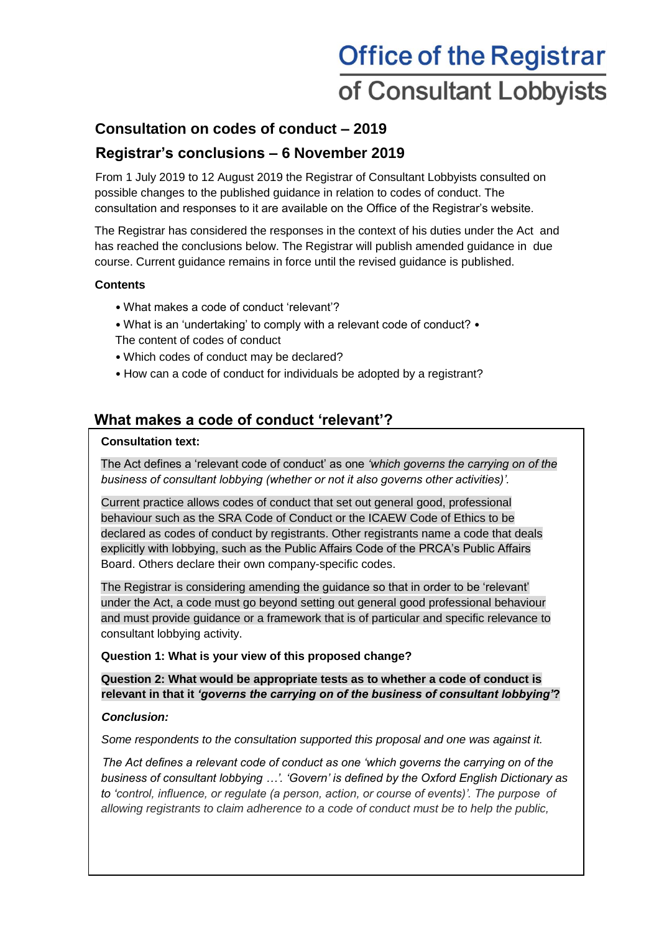# **Office of the Registrar** of Consultant Lobbyists

# **Consultation on codes of conduct – 2019**

# **Registrar's conclusions – 6 November 2019**

From 1 July 2019 to 12 August 2019 the Registrar of Consultant Lobbyists consulted on possible changes to the published guidance in relation to codes of conduct. The consultation and responses to it are available on the Office of the Registrar's website.

The Registrar has considered the responses in the context of his duties under the Act and has reached the conclusions below. The Registrar will publish amended guidance in due course. Current guidance remains in force until the revised guidance is published.

## **Contents**

- What makes a code of conduct 'relevant'?
- What is an 'undertaking' to comply with a relevant code of conduct? The content of codes of conduct
- Which codes of conduct may be declared?
- How can a code of conduct for individuals be adopted by a registrant?

# **What makes a code of conduct 'relevant'?**

## **Consultation text:**

The Act defines a 'relevant code of conduct' as one *'which governs the carrying on of the business of consultant lobbying (whether or not it also governs other activities)'.* 

Current practice allows codes of conduct that set out general good, professional behaviour such as the SRA Code of Conduct or the ICAEW Code of Ethics to be declared as codes of conduct by registrants. Other registrants name a code that deals explicitly with lobbying, such as the Public Affairs Code of the PRCA's Public Affairs Board. Others declare their own company-specific codes.

The Registrar is considering amending the guidance so that in order to be 'relevant' under the Act, a code must go beyond setting out general good professional behaviour and must provide guidance or a framework that is of particular and specific relevance to consultant lobbying activity.

## **Question 1: What is your view of this proposed change?**

**Question 2: What would be appropriate tests as to whether a code of conduct is relevant in that it** *'governs the carrying on of the business of consultant lobbying'***?**

# *Conclusion:*

*Some respondents to the consultation supported this proposal and one was against it.* 

*The Act defines a relevant code of conduct as one 'which governs the carrying on of the business of consultant lobbying …'. 'Govern' is defined by the Oxford English Dictionary as to 'control, influence, or regulate (a person, action, or course of events)'. The purpose of allowing registrants to claim adherence to a code of conduct must be to help the public,*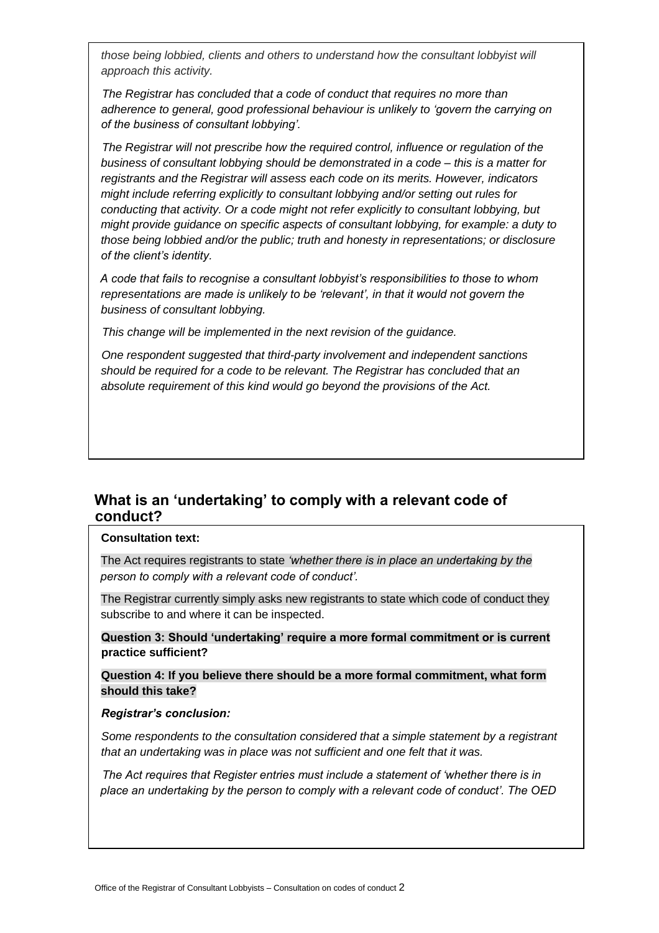*those being lobbied, clients and others to understand how the consultant lobbyist will approach this activity.* 

*The Registrar has concluded that a code of conduct that requires no more than adherence to general, good professional behaviour is unlikely to 'govern the carrying on of the business of consultant lobbying'.* 

*The Registrar will not prescribe how the required control, influence or regulation of the business of consultant lobbying should be demonstrated in a code – this is a matter for registrants and the Registrar will assess each code on its merits. However, indicators might include referring explicitly to consultant lobbying and/or setting out rules for conducting that activity. Or a code might not refer explicitly to consultant lobbying, but might provide guidance on specific aspects of consultant lobbying, for example: a duty to those being lobbied and/or the public; truth and honesty in representations; or disclosure of the client's identity.* 

*A code that fails to recognise a consultant lobbyist's responsibilities to those to whom representations are made is unlikely to be 'relevant', in that it would not govern the business of consultant lobbying.* 

*This change will be implemented in the next revision of the guidance.* 

*One respondent suggested that third-party involvement and independent sanctions should be required for a code to be relevant. The Registrar has concluded that an absolute requirement of this kind would go beyond the provisions of the Act.* 

# **What is an 'undertaking' to comply with a relevant code of conduct?**

#### **Consultation text:**

The Act requires registrants to state *'whether there is in place an undertaking by the person to comply with a relevant code of conduct'.* 

The Registrar currently simply asks new registrants to state which code of conduct they subscribe to and where it can be inspected.

**Question 3: Should 'undertaking' require a more formal commitment or is current practice sufficient?** 

**Question 4: If you believe there should be a more formal commitment, what form should this take?** 

#### *Registrar's conclusion:*

*Some respondents to the consultation considered that a simple statement by a registrant that an undertaking was in place was not sufficient and one felt that it was.* 

*The Act requires that Register entries must include a statement of 'whether there is in place an undertaking by the person to comply with a relevant code of conduct'. The OED*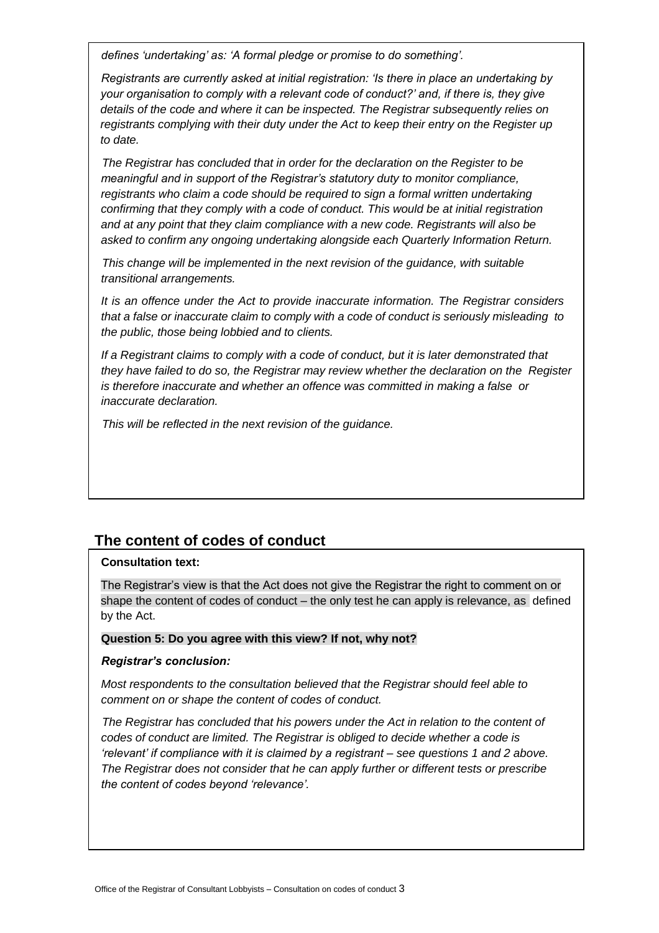*defines 'undertaking' as: 'A formal pledge or promise to do something'.* 

*Registrants are currently asked at initial registration: 'Is there in place an undertaking by your organisation to comply with a relevant code of conduct?' and, if there is, they give details of the code and where it can be inspected. The Registrar subsequently relies on registrants complying with their duty under the Act to keep their entry on the Register up to date.* 

*The Registrar has concluded that in order for the declaration on the Register to be meaningful and in support of the Registrar's statutory duty to monitor compliance, registrants who claim a code should be required to sign a formal written undertaking confirming that they comply with a code of conduct. This would be at initial registration and at any point that they claim compliance with a new code. Registrants will also be asked to confirm any ongoing undertaking alongside each Quarterly Information Return.* 

*This change will be implemented in the next revision of the guidance, with suitable transitional arrangements.* 

*It is an offence under the Act to provide inaccurate information. The Registrar considers that a false or inaccurate claim to comply with a code of conduct is seriously misleading to the public, those being lobbied and to clients.* 

*If a Registrant claims to comply with a code of conduct, but it is later demonstrated that they have failed to do so, the Registrar may review whether the declaration on the Register is therefore inaccurate and whether an offence was committed in making a false or inaccurate declaration.* 

*This will be reflected in the next revision of the guidance.*

# **The content of codes of conduct**

#### **Consultation text:**

The Registrar's view is that the Act does not give the Registrar the right to comment on or shape the content of codes of conduct – the only test he can apply is relevance, as defined by the Act.

#### **Question 5: Do you agree with this view? If not, why not?**

#### *Registrar's conclusion:*

*Most respondents to the consultation believed that the Registrar should feel able to comment on or shape the content of codes of conduct.* 

*The Registrar has concluded that his powers under the Act in relation to the content of codes of conduct are limited. The Registrar is obliged to decide whether a code is 'relevant' if compliance with it is claimed by a registrant – see questions 1 and 2 above. The Registrar does not consider that he can apply further or different tests or prescribe the content of codes beyond 'relevance'.*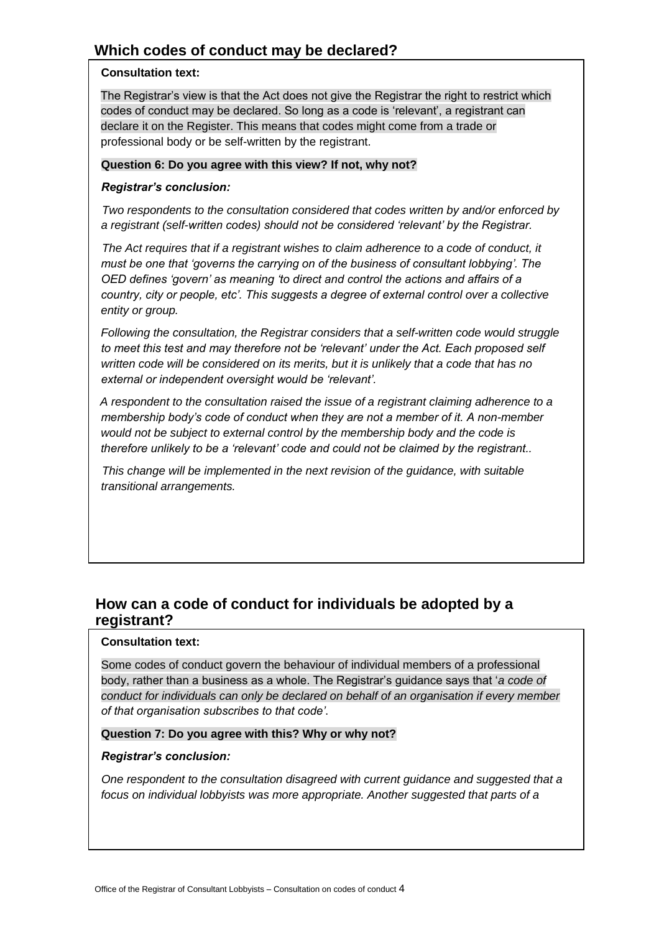# **Which codes of conduct may be declared?**

## **Consultation text:**

The Registrar's view is that the Act does not give the Registrar the right to restrict which codes of conduct may be declared. So long as a code is 'relevant', a registrant can declare it on the Register. This means that codes might come from a trade or professional body or be self-written by the registrant.

## **Question 6: Do you agree with this view? If not, why not?**

## *Registrar's conclusion:*

*Two respondents to the consultation considered that codes written by and/or enforced by a registrant (self-written codes) should not be considered 'relevant' by the Registrar.* 

*The Act requires that if a registrant wishes to claim adherence to a code of conduct, it must be one that 'governs the carrying on of the business of consultant lobbying'. The OED defines 'govern' as meaning 'to direct and control the actions and affairs of a country, city or people, etc'. This suggests a degree of external control over a collective entity or group.* 

*Following the consultation, the Registrar considers that a self-written code would struggle to meet this test and may therefore not be 'relevant' under the Act. Each proposed self written code will be considered on its merits, but it is unlikely that a code that has no external or independent oversight would be 'relevant'.* 

*A respondent to the consultation raised the issue of a registrant claiming adherence to a membership body's code of conduct when they are not a member of it. A non-member would not be subject to external control by the membership body and the code is therefore unlikely to be a 'relevant' code and could not be claimed by the registrant..* 

*This change will be implemented in the next revision of the guidance, with suitable transitional arrangements.*

# **How can a code of conduct for individuals be adopted by a registrant?**

## **Consultation text:**

Some codes of conduct govern the behaviour of individual members of a professional body, rather than a business as a whole. The Registrar's guidance says that '*a code of conduct for individuals can only be declared on behalf of an organisation if every member of that organisation subscribes to that code'*.

#### **Question 7: Do you agree with this? Why or why not?**

#### *Registrar's conclusion:*

*One respondent to the consultation disagreed with current guidance and suggested that a focus on individual lobbyists was more appropriate. Another suggested that parts of a*